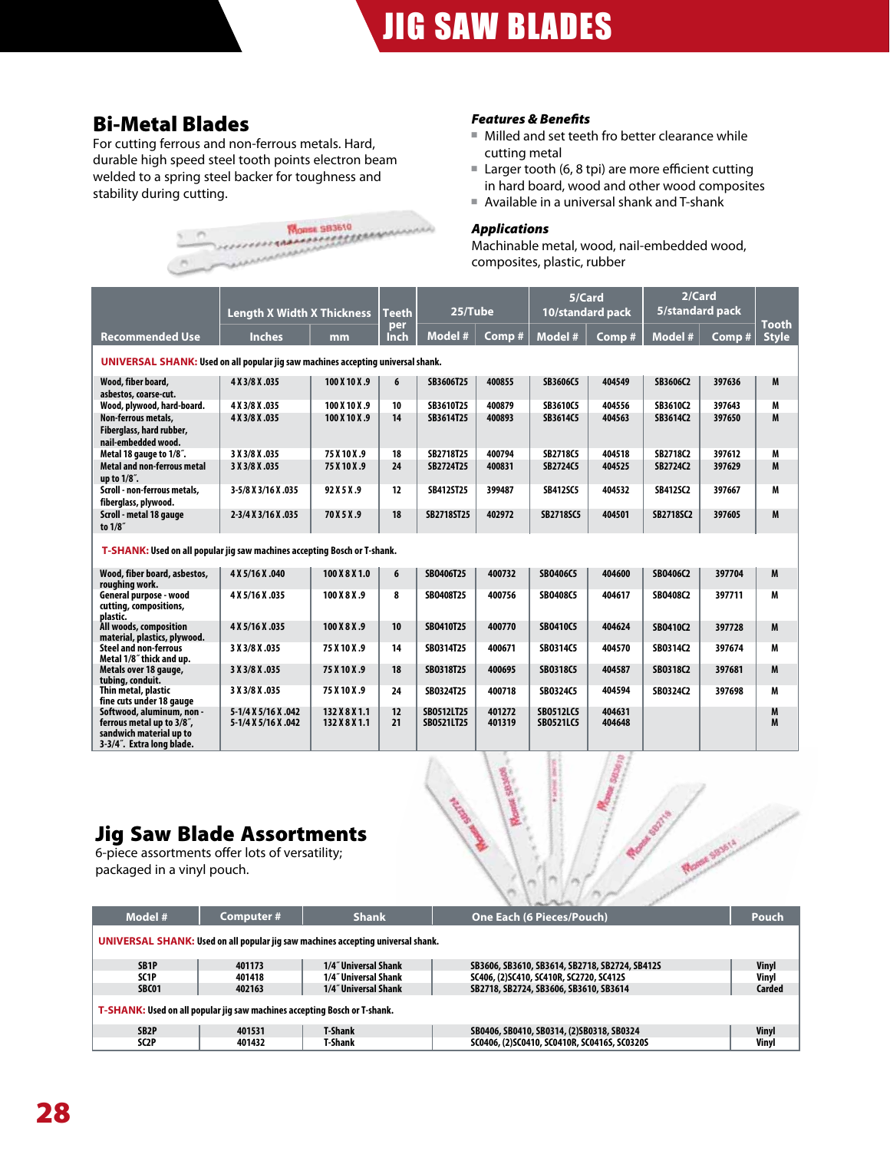# Bi-Metal Blades

For cutting ferrous and non-ferrous metals. Hard, durable high speed steel tooth points electron beam welded to a spring steel backer for toughness and



### *Features & Benefits*

- Milled and set teeth fro better clearance while cutting metal
- Larger tooth (6, 8 tpi) are more efficient cutting in hard board, wood and other wood composites
- Available in a universal shank and T-shank

### *Applications*

Machinable metal, wood, nail-embedded wood, composites, plastic, rubber

|                                                                                                                | <b>Length X Width X Thickness</b>          |                                | <b>Teeth</b> | 25/Tube                  |                  | 5/Card                               | 10/standard pack | 2/Card<br>5/standard pack |        |                              |  |
|----------------------------------------------------------------------------------------------------------------|--------------------------------------------|--------------------------------|--------------|--------------------------|------------------|--------------------------------------|------------------|---------------------------|--------|------------------------------|--|
| <b>Recommended Use</b>                                                                                         | <b>Inches</b>                              | mm                             | per<br>Inch  | Model #                  | Comp #           | Model #                              | Comp#            | Model #                   | Comp#  | <b>Tooth</b><br><b>Style</b> |  |
| UNIVERSAL SHANK: Used on all popular jig saw machines accepting universal shank.                               |                                            |                                |              |                          |                  |                                      |                  |                           |        |                              |  |
| Wood, fiber board,<br>asbestos, coarse-cut.                                                                    | 4 X 3/8 X .035                             | 100 X 10 X .9                  | 6            | SB3606T25                | 400855           | SB3606C5                             | 404549           | SB3606C2                  | 397636 | M                            |  |
| Wood, plywood, hard-board.                                                                                     | 4 X 3/8 X .035                             | 100 X 10 X .9                  | 10           | SB3610T25                | 400879           | SB3610C5                             | 404556           | SB3610C2                  | 397643 | M                            |  |
| Non-ferrous metals,<br>Fiberglass, hard rubber,<br>nail-embedded wood.                                         | 4 X 3/8 X .035                             | 100 X 10 X .9                  | 14           | SB3614T25                | 400893           | SB3614C5                             | 404563           | SB3614C2                  | 397650 | M                            |  |
| Metal 18 gauge to 1/8".                                                                                        | 3 X 3/8 X .035                             | 75 X 10 X .9                   | 18           | SB2718T25                | 400794           | SB2718C5                             | 404518           | SB2718C2                  | 397612 | M                            |  |
| <b>Metal and non-ferrous metal</b><br>up to 1/8".                                                              | 3 X 3/8 X .035                             | 75 X 10 X .9                   | 24           | SB2724T25                | 400831           | SB2724C5                             | 404525           | SB2724C2                  | 397629 | M                            |  |
| Scroll - non-ferrous metals,<br>fiberglass, plywood.                                                           | 3-5/8 X 3/16 X .035                        | 92 X 5 X .9                    | 12           | SB412ST25                | 399487           | <b>SB412SC5</b>                      | 404532           | <b>SB412SC2</b>           | 397667 | M                            |  |
| Scroll - metal 18 gauge<br>to 1/8"                                                                             | 2-3/4 X 3/16 X .035                        | 70 X 5 X .9                    | 18           | SB2718ST25               | 402972           | <b>SB2718SC5</b>                     | 404501           | SB2718SC2                 | 397605 | M                            |  |
| T-SHANK: Used on all popular jig saw machines accepting Bosch or T-shank.                                      |                                            |                                |              |                          |                  |                                      |                  |                           |        |                              |  |
| Wood, fiber board, asbestos,<br>roughing work.                                                                 | 4 X 5/16 X .040                            | 100 X 8 X 1.0                  | 6            | SB0406T25                | 400732           | SB0406C5                             | 404600           | SB0406C2                  | 397704 | M                            |  |
| General purpose - wood<br>cutting, compositions,<br>plastic.                                                   | 4 X 5/16 X .035                            | 100 X 8 X .9                   | 8            | SB0408T25                | 400756           | SB0408C5                             | 404617           | SB0408C2                  | 397711 | M                            |  |
| All woods, composition<br>material, plastics, plywood.                                                         | 4 X 5/16 X .035                            | 100 X 8 X .9                   | 10           | SB0410T25                | 400770           | SB0410C5                             | 404624           | SB0410C2                  | 397728 | M                            |  |
| <b>Steel and non-ferrous</b><br>Metal 1/8" thick and up.                                                       | 3 X 3/8 X .035                             | 75 X 10 X .9                   | 14           | SB0314T25                | 400671           | SB0314C5                             | 404570           | SB0314C2                  | 397674 | M                            |  |
| Metals over 18 gauge,<br>tubing, conduit.                                                                      | 3 X 3/8 X .035                             | 75 X 10 X .9                   | 18           | SB0318T25                | 400695           | <b>SB0318C5</b>                      | 404587           | SB0318C2                  | 397681 | M                            |  |
| Thin metal, plastic<br>fine cuts under 18 gauge                                                                | 3 X 3/8 X .035                             | 75 X 10 X .9                   | 24           | SB0324T25                | 400718           | SB0324C5                             | 404594           | SB0324C2                  | 397698 | M                            |  |
| Softwood, aluminum, non -<br>ferrous metal up to 3/8",<br>sandwich material up to<br>3-3/4". Extra long blade. | 5-1/4 X 5/16 X .042<br>5-1/4 X 5/16 X .042 | 132 X 8 X 1.1<br>132 X 8 X 1.1 | 12<br>21     | SB0512LT25<br>SB0521LT25 | 401272<br>401319 | <b>SB0512LC5</b><br><b>SB0521LC5</b> | 404631<br>404648 |                           |        | M<br>M                       |  |

# Jig Saw Blade Assortments

6-piece assortments offer lots of versatility; packaged in a vinyl pouch.

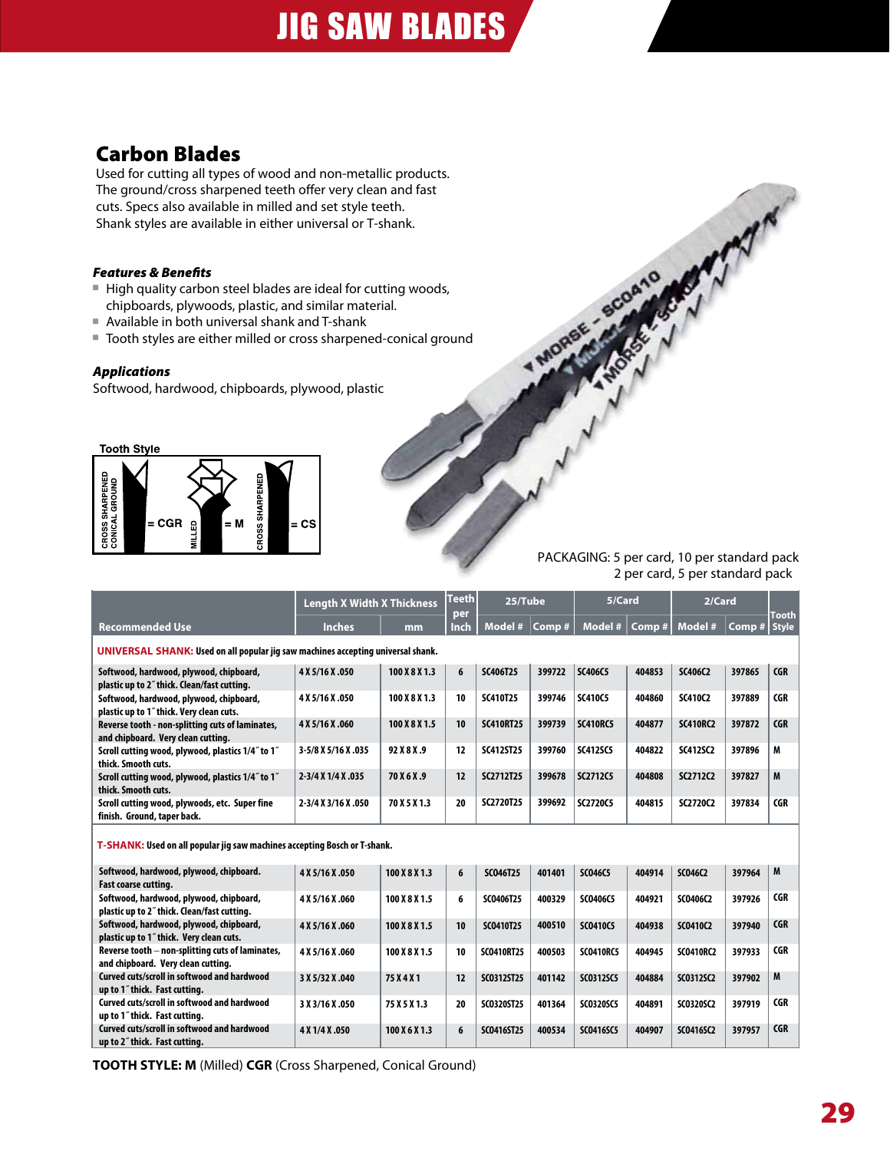# JIG SAW BLADES

# Carbon Blades

Used for cutting all types of wood and non-metallic products. The ground/cross sharpened teeth offer very clean and fast cuts. Specs also available in milled and set style teeth. Shank styles are available in either universal or T-shank.

# *Features & Benefits*

- High quality carbon steel blades are ideal for cutting woods, chipboards, plywoods, plastic, and similar material.
- Available in both universal shank and T-shank
- Tooth styles are either milled or cross sharpened-conical ground

### *Applications*

Softwood, hardwood, chipboards, plywood, plastic



PACKAGING: 5 per card, 10 per standard pack 2 per card, 5 per standard pack

1 MORSE

AM

| <b>Length X Width X Thickness</b>                                                      |                     | Teeth<br>per  | 25/Tube |                   | 5/Card |                  | 2/Card |                  | Tooth  |              |
|----------------------------------------------------------------------------------------|---------------------|---------------|---------|-------------------|--------|------------------|--------|------------------|--------|--------------|
| <b>Recommended Use</b>                                                                 | <b>Inches</b>       | mm            | Inch    | Model #           | Comp#  | Model #          | Comp#  | Model #          | Comp#  | <b>Style</b> |
| UNIVERSAL SHANK: Used on all popular jig saw machines accepting universal shank.       |                     |               |         |                   |        |                  |        |                  |        |              |
| Softwood, hardwood, plywood, chipboard,<br>plastic up to 2" thick. Clean/fast cutting. | 4 X 5/16 X .050     | 100 X 8 X 1.3 | 6       | SC406T25          | 399722 | SC406C5          | 404853 | SC406C2          | 397865 | <b>CGR</b>   |
| Softwood, hardwood, plywood, chipboard,<br>plastic up to 1" thick. Very clean cuts.    | 4 X 5/16 X .050     | 100 X 8 X 1.3 | 10      | <b>SC410T25</b>   | 399746 | <b>SC410C5</b>   | 404860 | <b>SC410C2</b>   | 397889 | <b>CGR</b>   |
| Reverse tooth - non-splitting cuts of laminates,<br>and chipboard. Very clean cutting. | 4 X 5/16 X .060     | 100 X 8 X 1.5 | 10      | <b>SC410RT25</b>  | 399739 | <b>SC410RC5</b>  | 404877 | <b>SC410RC2</b>  | 397872 | <b>CGR</b>   |
| Scroll cutting wood, plywood, plastics 1/4" to 1"<br>thick. Smooth cuts.               | 3-5/8 X 5/16 X .035 | 92 X 8 X .9   | 12      | <b>SC412ST25</b>  | 399760 | <b>SC412SC5</b>  | 404822 | <b>SC412SC2</b>  | 397896 | M            |
| Scroll cutting wood, plywood, plastics 1/4" to 1"<br>thick. Smooth cuts.               | 2-3/4 X 1/4 X .035  | 70 X 6 X .9   | 12      | SC2712T25         | 399678 | SC2712C5         | 404808 | SC2712C2         | 397827 | M            |
| Scroll cutting wood, plywoods, etc. Super fine<br>finish. Ground, taper back.          | 2-3/4 X 3/16 X .050 | 70 X 5 X 1.3  | 20      | SC2720T25         | 399692 | SC2720C5         | 404815 | SC2720C2         | 397834 | <b>CGR</b>   |
| T-SHANK: Used on all popular jig saw machines accepting Bosch or T-shank.              |                     |               |         |                   |        |                  |        |                  |        |              |
| Softwood, hardwood, plywood, chipboard.<br>Fast coarse cutting.                        | 4 X 5/16 X .050     | 100 X 8 X 1.3 | 6       | SC046T25          | 401401 | <b>SC046C5</b>   | 404914 | SC046C2          | 397964 | M            |
| Softwood, hardwood, plywood, chipboard,<br>plastic up to 2" thick. Clean/fast cutting. | 4 X 5/16 X .060     | 100 X 8 X 1.5 | 6       | SC0406T25         | 400329 | SC0406C5         | 404921 | SC0406C2         | 397926 | <b>CGR</b>   |
| Softwood, hardwood, plywood, chipboard,<br>plastic up to 1" thick. Very clean cuts.    | 4 X 5/16 X .060     | 100 X 8 X 1.5 | 10      | SC0410T25         | 400510 | <b>SC0410C5</b>  | 404938 | SC0410C2         | 397940 | <b>CGR</b>   |
| Reverse tooth – non-splitting cuts of laminates,<br>and chipboard. Very clean cutting. | 4 X 5/16 X .060     | 100 X 8 X 1.5 | 10      | <b>SC0410RT25</b> | 400503 | <b>SCO410RC5</b> | 404945 | <b>SC0410RC2</b> | 397933 | <b>CGR</b>   |
| Curved cuts/scroll in softwood and hardwood<br>up to 1" thick. Fast cutting.           | 3 X 5/32 X .040     | 75 X 4 X 1    | 12      | SC0312ST25        | 401142 | <b>SC0312SC5</b> | 404884 | SC0312SC2        | 397902 | M            |
| Curved cuts/scroll in softwood and hardwood<br>up to 1" thick. Fast cutting.           | 3 X 3/16 X .050     | 75 X 5 X 1.3  | 20      | SC0320ST25        | 401364 | SC0320SC5        | 404891 | SC0320SC2        | 397919 | <b>CGR</b>   |
| Curved cuts/scroll in softwood and hardwood<br>up to 2" thick. Fast cutting.           | 4 X 1/4 X .050      | 100 X 6 X 1.3 | 6       | SC0416ST25        | 400534 | <b>SC0416SC5</b> | 404907 | SC0416SC2        | 397957 | <b>CGR</b>   |

**TOOTH STYLE: M** (Milled) **CGR** (Cross Sharpened, Conical Ground)